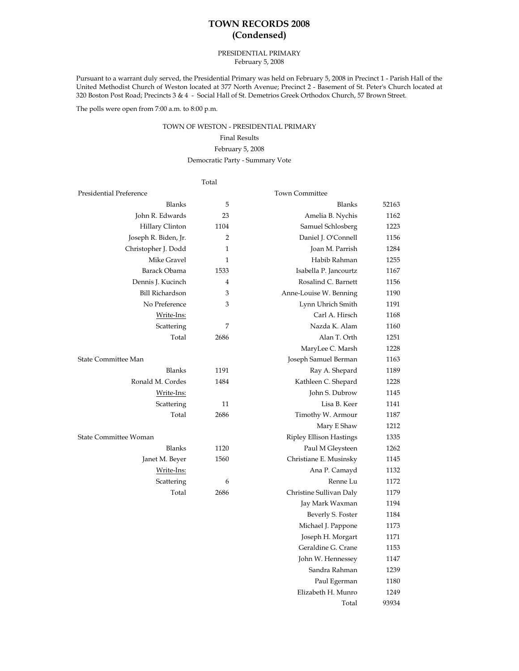# **TOWN RECORDS 2008 (Condensed)**

#### PRESIDENTIAL PRIMARY February 5, 2008

Pursuant to a warrant duly served, the Presidential Primary was held on February 5, 2008 in Precinct 1 - Parish Hall of the United Methodist Church of Weston located at 377 North Avenue; Precinct 2 - Basement of St. Peter's Church located at 320 Boston Post Road; Precincts 3 & 4 - Social Hall of St. Demetrios Greek Orthodox Church, 57 Brown Street.

The polls were open from 7:00 a.m. to 8:00 p.m.

### TOWN OF WESTON - PRESIDENTIAL PRIMARY

## Final Results

#### February 5, 2008

#### Democratic Party - Summary Vote

### Total

| Presidential Preference |                | <b>Town Committee</b>          |       |
|-------------------------|----------------|--------------------------------|-------|
| Blanks                  | 5              | Blanks                         | 52163 |
| John R. Edwards         | 23             | Amelia B. Nychis               | 1162  |
| Hillary Clinton         | 1104           | Samuel Schlosberg              | 1223  |
| Joseph R. Biden, Jr.    | 2              | Daniel J. O'Connell            | 1156  |
| Christopher J. Dodd     | 1              | Joan M. Parrish                | 1284  |
| Mike Gravel             | $\mathbf{1}$   | Habib Rahman                   | 1255  |
| Barack Obama            | 1533           | Isabella P. Jancourtz          | 1167  |
| Dennis J. Kucinch       | $\overline{4}$ | Rosalind C. Barnett            | 1156  |
| <b>Bill Richardson</b>  | 3              | Anne-Louise W. Benning         | 1190  |
| No Preference           | 3              | Lynn Uhrich Smith              | 1191  |
| Write-Ins:              |                | Carl A. Hirsch                 | 1168  |
| Scattering              | 7              | Nazda K. Alam                  | 1160  |
| Total                   | 2686           | Alan T. Orth                   | 1251  |
|                         |                | MaryLee C. Marsh               | 1228  |
| State Committee Man     |                | Joseph Samuel Berman           | 1163  |
| <b>Blanks</b>           | 1191           | Ray A. Shepard                 | 1189  |
| Ronald M. Cordes        | 1484           | Kathleen C. Shepard            | 1228  |
| Write-Ins:              |                | John S. Dubrow                 | 1145  |
| Scattering              | 11             | Lisa B. Keer                   | 1141  |
| Total                   | 2686           | Timothy W. Armour              | 1187  |
|                         |                | Mary E Shaw                    | 1212  |
| State Committee Woman   |                | <b>Ripley Ellison Hastings</b> | 1335  |
| Blanks                  | 1120           | Paul M Gleysteen               | 1262  |
| Janet M. Beyer          | 1560           | Christiane E. Musinsky         | 1145  |
| Write-Ins:              |                | Ana P. Camayd                  | 1132  |
| Scattering              | 6              | Renne Lu                       | 1172  |
| Total                   | 2686           | Christine Sullivan Daly        | 1179  |
|                         |                | Jay Mark Waxman                | 1194  |
|                         |                | Beverly S. Foster              | 1184  |
|                         |                | Michael J. Pappone             | 1173  |
|                         |                | Joseph H. Morgart              | 1171  |

Geraldine G. Crane 1153 John W. Hennessey 1147 Sandra Rahman 1239 Paul Egerman 1180 Elizabeth H. Munro 1249

Total 93934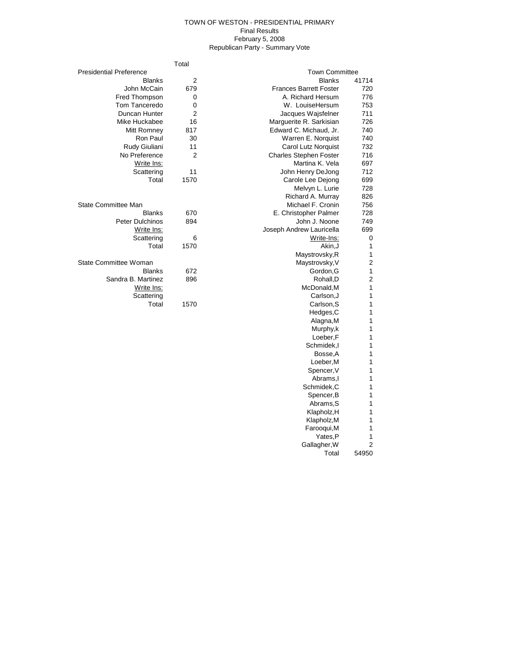#### TOWN OF WESTON - PRESIDENTIAL PRIMARY Final Results February 5, 2008 Republican Party - Summary Vote

|                                | Total          |                               |                |
|--------------------------------|----------------|-------------------------------|----------------|
| <b>Presidential Preference</b> |                | <b>Town Committee</b>         |                |
| <b>Blanks</b>                  | $\overline{2}$ | <b>Blanks</b>                 | 41714          |
| John McCain                    | 679            | <b>Frances Barrett Foster</b> | 720            |
| Fred Thompson                  | 0              | A. Richard Hersum             | 776            |
| Tom Tanceredo                  | $\mathbf 0$    | W. LouiseHersum               | 753            |
| Duncan Hunter                  | $\overline{2}$ | Jacques Wajsfelner            | 711            |
| Mike Huckabee                  | 16             | Marguerite R. Sarkisian       | 726            |
| Mitt Romney                    | 817            | Edward C. Michaud, Jr.        | 740            |
| Ron Paul                       | 30             | Warren E. Norquist            | 740            |
| Rudy Giuliani                  | 11             | Carol Lutz Norquist           | 732            |
| No Preference                  | $\overline{2}$ | <b>Charles Stephen Foster</b> | 716            |
| Write Ins:                     |                | Martina K. Vela               | 697            |
| Scattering                     | 11             | John Henry DeJong             | 712            |
| Total                          | 1570           | Carole Lee Dejong             | 699            |
|                                |                | Melvyn L. Lurie               | 728            |
|                                |                | Richard A. Murray             | 826            |
| <b>State Committee Man</b>     |                | Michael F. Cronin             | 756            |
| <b>Blanks</b>                  | 670            | E. Christopher Palmer         | 728            |
| Peter Dulchinos                | 894            | John J. Noone                 | 749            |
| Write Ins:                     |                | Joseph Andrew Lauricella      | 699            |
| Scattering                     | 6              | Write-Ins:                    | $\mathbf 0$    |
| Total                          | 1570           | Akin, J                       | 1              |
|                                |                | Maystrovsky, R                | 1              |
| State Committee Woman          |                | Maystrovsky, V                | $\overline{c}$ |
| <b>Blanks</b>                  | 672            | Gordon, G                     | 1              |
| Sandra B. Martinez             | 896            | Rohall,D                      | $\overline{c}$ |
| Write Ins:                     |                | McDonald, M                   | 1              |
| Scattering                     |                | Carlson, J                    | 1              |
| Total                          | 1570           | Carlson, S                    | 1              |
|                                |                | Hedges, C                     | 1              |
|                                |                | Alagna, M                     | 1              |
|                                |                | Murphy,k                      | 1              |
|                                |                | Loeber,F                      | 1              |
|                                |                | Schmidek, I                   | 1              |
|                                |                | Bosse, A                      | 1              |
|                                |                | Loeber, M                     | 1              |
|                                |                | Spencer, V                    | 1              |
|                                |                | Abrams, I                     | 1              |
|                                |                | Schmidek, C                   | 1              |

Spencer, B 1 Abrams,S 1 Klapholz,H 1 Klapholz, M 1 Farooqui,M<sub>1</sub> Yates,P<sub>1</sub> Gallagher, W 2 Total 54950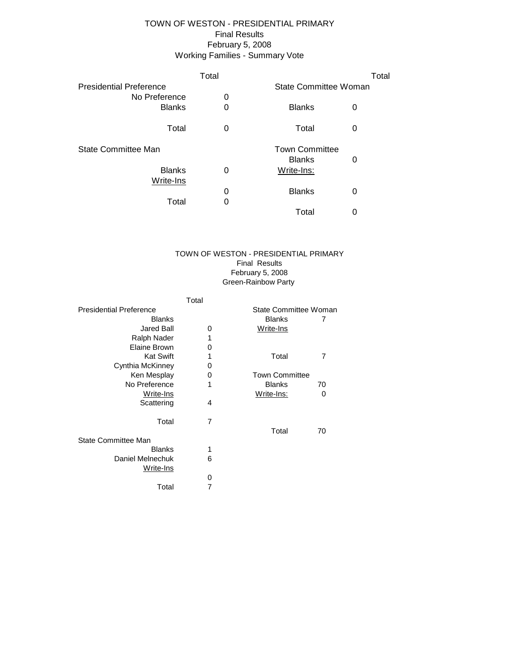# Working Families - Summary Vote TOWN OF WESTON - PRESIDENTIAL PRIMARY Final Results February 5, 2008

|                                | Total |                              | Total |
|--------------------------------|-------|------------------------------|-------|
| <b>Presidential Preference</b> |       | <b>State Committee Woman</b> |       |
| No Preference                  | 0     |                              |       |
| <b>Blanks</b>                  | 0     | <b>Blanks</b>                | 0     |
| Total                          | 0     | Total                        | 0     |
| State Committee Man            |       | <b>Town Committee</b>        |       |
|                                |       | <b>Blanks</b>                | 0     |
| <b>Blanks</b>                  | 0     | Write-Ins:                   |       |
| Write-Ins                      |       |                              |       |
|                                | 0     | <b>Blanks</b>                | 0     |
| Total                          | 0     |                              |       |
|                                |       | Total                        | U     |

#### Green-Rainbow Party TOWN OF WESTON - PRESIDENTIAL PRIMARY Final Results February 5, 2008

|                                | Total |                       |    |
|--------------------------------|-------|-----------------------|----|
| <b>Presidential Preference</b> |       | State Committee Woman |    |
| <b>Blanks</b>                  |       | <b>Blanks</b>         | 7  |
| <b>Jared Ball</b>              | 0     | Write-Ins             |    |
| Ralph Nader                    | 1     |                       |    |
| Elaine Brown                   | 0     |                       |    |
| <b>Kat Swift</b>               | 1     | Total                 | 7  |
| Cynthia McKinney               | 0     |                       |    |
| Ken Mesplay                    | 0     | <b>Town Committee</b> |    |
| No Preference                  | 1     | <b>Blanks</b>         | 70 |
| Write-Ins                      |       | <u>Write-Ins:</u>     | 0  |
| Scattering                     | 4     |                       |    |
| Total                          | 7     |                       |    |
|                                |       | Total                 | 70 |
| State Committee Man            |       |                       |    |
| <b>Blanks</b>                  | 1     |                       |    |
| Daniel Melnechuk<br>Write-Ins  | 6     |                       |    |
|                                | 0     |                       |    |
| Total                          | 7     |                       |    |
|                                |       |                       |    |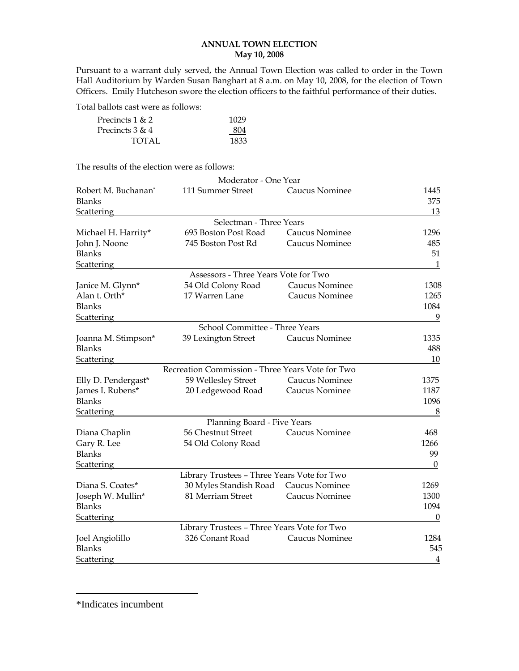## **ANNUAL TOWN ELECTION May 10, 2008**

Pursuant to a warrant duly served, the Annual Town Election was called to order in the Town Hall Auditorium by Warden Susan Banghart at 8 a.m. on May 10, 2008, for the election of Town Officers. Emily Hutcheson swore the election officers to the faithful performance of their duties.

Total ballots cast were as follows:

| Precincts $1 & 2$ | 1029 |
|-------------------|------|
| Precincts $3 & 4$ | 804  |
| TOTAL             | 1833 |

The results of the election were as follows:

|                     | Moderator - One Year                             |                |                  |
|---------------------|--------------------------------------------------|----------------|------------------|
| Robert M. Buchanan* | 111 Summer Street                                | Caucus Nominee | 1445             |
| <b>Blanks</b>       |                                                  |                | 375              |
| Scattering          |                                                  |                | 13               |
|                     | Selectman - Three Years                          |                |                  |
| Michael H. Harrity* | 695 Boston Post Road                             | Caucus Nominee | 1296             |
| John J. Noone       | 745 Boston Post Rd                               | Caucus Nominee | 485              |
| <b>Blanks</b>       |                                                  |                | 51               |
| <b>Scattering</b>   |                                                  |                | $\mathbf{1}$     |
|                     | Assessors - Three Years Vote for Two             |                |                  |
| Janice M. Glynn*    | 54 Old Colony Road                               | Caucus Nominee | 1308             |
| Alan t. Orth*       | 17 Warren Lane                                   | Caucus Nominee | 1265             |
| <b>Blanks</b>       |                                                  |                | 1084             |
| <b>Scattering</b>   |                                                  |                | 9                |
|                     | School Committee - Three Years                   |                |                  |
| Joanna M. Stimpson* | 39 Lexington Street                              | Caucus Nominee | 1335             |
| <b>Blanks</b>       |                                                  |                | 488              |
| Scattering          |                                                  |                | 10               |
|                     | Recreation Commission - Three Years Vote for Two |                |                  |
|                     |                                                  | Caucus Nominee | 1375             |
| Elly D. Pendergast* | 59 Wellesley Street                              |                | 1187             |
| James I. Rubens*    | 20 Ledgewood Road                                | Caucus Nominee |                  |
| <b>Blanks</b>       |                                                  |                | 1096             |
| <b>Scattering</b>   |                                                  |                | 8                |
|                     | Planning Board - Five Years                      |                |                  |
| Diana Chaplin       | 56 Chestnut Street                               | Caucus Nominee | 468              |
| Gary R. Lee         | 54 Old Colony Road                               |                | 1266             |
| <b>Blanks</b>       |                                                  |                | 99               |
| <b>Scattering</b>   |                                                  |                | $\boldsymbol{0}$ |
|                     | Library Trustees - Three Years Vote for Two      |                |                  |
| Diana S. Coates*    | 30 Myles Standish Road Caucus Nominee            |                | 1269             |
| Joseph W. Mullin*   | 81 Merriam Street                                | Caucus Nominee | 1300             |
| Blanks              |                                                  |                | 1094             |
| <b>Scattering</b>   |                                                  |                | $\boldsymbol{0}$ |
|                     | Library Trustees - Three Years Vote for Two      |                |                  |
| Joel Angiolillo     | 326 Conant Road                                  | Caucus Nominee | 1284             |
| <b>Blanks</b>       |                                                  |                | 545              |
| <b>Scattering</b>   |                                                  |                | $\overline{4}$   |

\*Indicates incumbent

 $\overline{a}$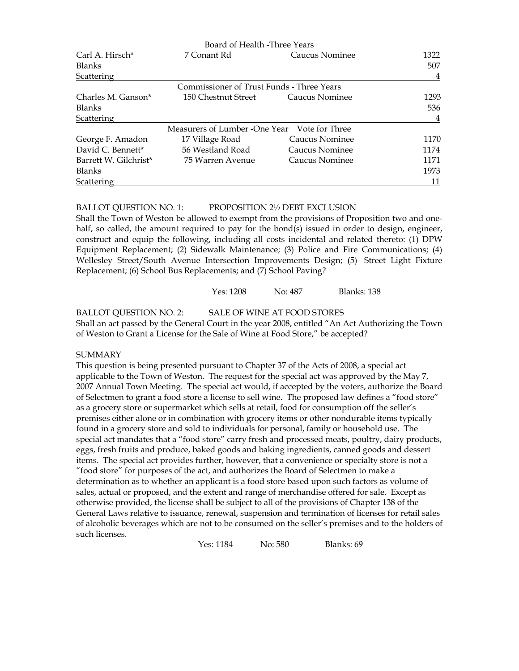|                             | Board of Health -Three Years                 |                |      |
|-----------------------------|----------------------------------------------|----------------|------|
| Carl A. Hirsch <sup>*</sup> | 7 Conant Rd                                  | Caucus Nominee | 1322 |
| <b>Blanks</b>               |                                              |                | 507  |
| Scattering                  |                                              |                | 4    |
|                             | Commissioner of Trust Funds - Three Years    |                |      |
| Charles M. Ganson*          | 150 Chestnut Street                          | Caucus Nominee | 1293 |
| <b>Blanks</b>               |                                              |                | 536  |
| Scattering                  |                                              |                | 4    |
|                             | Measurers of Lumber -One Year Vote for Three |                |      |
| George F. Amadon            | 17 Village Road                              | Caucus Nominee | 1170 |
| David C. Bennett*           | 56 Westland Road                             | Caucus Nominee | 1174 |
| Barrett W. Gilchrist*       | 75 Warren Avenue                             | Caucus Nominee | 1171 |
| <b>Blanks</b>               |                                              |                | 1973 |
| Scattering                  |                                              |                | 11   |

## BALLOT QUESTION NO. 1: PROPOSITION 2½ DEBT EXCLUSION

Shall the Town of Weston be allowed to exempt from the provisions of Proposition two and onehalf, so called, the amount required to pay for the bond(s) issued in order to design, engineer, construct and equip the following, including all costs incidental and related thereto: (1) DPW Equipment Replacement; (2) Sidewalk Maintenance; (3) Police and Fire Communications; (4) Wellesley Street/South Avenue Intersection Improvements Design; (5) Street Light Fixture Replacement; (6) School Bus Replacements; and (7) School Paving?

Yes: 1208 No: 487 Blanks: 138

BALLOT QUESTION NO. 2: SALE OF WINE AT FOOD STORES Shall an act passed by the General Court in the year 2008, entitled "An Act Authorizing the Town of Weston to Grant a License for the Sale of Wine at Food Store," be accepted?

### **SUMMARY**

This question is being presented pursuant to Chapter 37 of the Acts of 2008, a special act applicable to the Town of Weston. The request for the special act was approved by the May 7, 2007 Annual Town Meeting. The special act would, if accepted by the voters, authorize the Board of Selectmen to grant a food store a license to sell wine. The proposed law defines a "food store" as a grocery store or supermarket which sells at retail, food for consumption off the seller's premises either alone or in combination with grocery items or other nondurable items typically found in a grocery store and sold to individuals for personal, family or household use. The special act mandates that a "food store" carry fresh and processed meats, poultry, dairy products, eggs, fresh fruits and produce, baked goods and baking ingredients, canned goods and dessert items. The special act provides further, however, that a convenience or specialty store is not a "food store" for purposes of the act, and authorizes the Board of Selectmen to make a determination as to whether an applicant is a food store based upon such factors as volume of sales, actual or proposed, and the extent and range of merchandise offered for sale. Except as otherwise provided, the license shall be subject to all of the provisions of Chapter 138 of the General Laws relative to issuance, renewal, suspension and termination of licenses for retail sales of alcoholic beverages which are not to be consumed on the seller's premises and to the holders of such licenses.

Yes: 1184 No: 580 Blanks: 69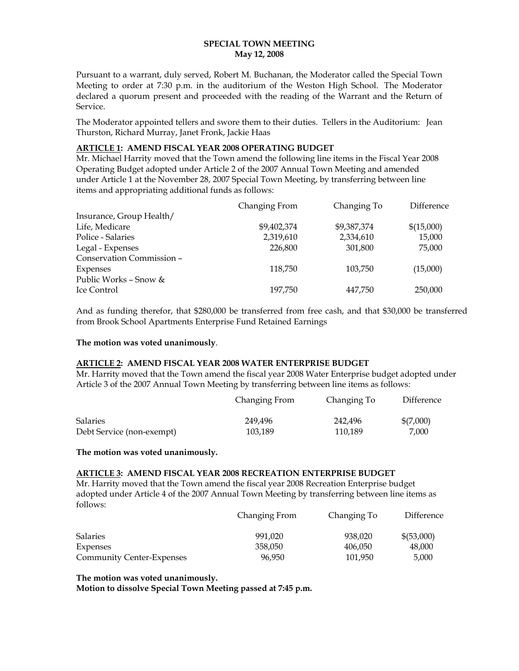### **SPECIAL TOWN MEETING May 12, 2008**

Pursuant to a warrant, duly served, Robert M. Buchanan, the Moderator called the Special Town Meeting to order at 7:30 p.m. in the auditorium of the Weston High School. The Moderator declared a quorum present and proceeded with the reading of the Warrant and the Return of Service.

The Moderator appointed tellers and swore them to their duties. Tellers in the Auditorium: Jean Thurston, Richard Murray, Janet Fronk, Jackie Haas

## **ARTICLE 1: AMEND FISCAL YEAR 2008 OPERATING BUDGET**

Mr. Michael Harrity moved that the Town amend the following line items in the Fiscal Year 2008 Operating Budget adopted under Article 2 of the 2007 Annual Town Meeting and amended under Article 1 at the November 28, 2007 Special Town Meeting, by transferring between line items and appropriating additional funds as follows:

|                           | Changing From | Changing To | Difference |
|---------------------------|---------------|-------------|------------|
| Insurance, Group Health/  |               |             |            |
| Life, Medicare            | \$9,402,374   | \$9,387,374 | \$(15,000) |
| Police - Salaries         | 2,319,610     | 2,334,610   | 15,000     |
| Legal - Expenses          | 226,800       | 301,800     | 75,000     |
| Conservation Commission - |               |             |            |
| Expenses                  | 118,750       | 103,750     | (15,000)   |
| Public Works - Snow &     |               |             |            |
| Ice Control               | 197.750       | 447.750     | 250,000    |

And as funding therefor, that \$280,000 be transferred from free cash, and that \$30,000 be transferred from Brook School Apartments Enterprise Fund Retained Earnings

## **The motion was voted unanimously**.

## **ARTICLE 2: AMEND FISCAL YEAR 2008 WATER ENTERPRISE BUDGET**

Mr. Harrity moved that the Town amend the fiscal year 2008 Water Enterprise budget adopted under Article 3 of the 2007 Annual Town Meeting by transferring between line items as follows:

|                           | Changing From | Changing To | Difference |
|---------------------------|---------------|-------------|------------|
| <b>Salaries</b>           | 249,496       | 242,496     | \$(7,000)  |
| Debt Service (non-exempt) | 103.189       | 110.189     | 7.000      |

**The motion was voted unanimously.** 

#### **ARTICLE 3: AMEND FISCAL YEAR 2008 RECREATION ENTERPRISE BUDGET**

Mr. Harrity moved that the Town amend the fiscal year 2008 Recreation Enterprise budget adopted under Article 4 of the 2007 Annual Town Meeting by transferring between line items as follows:

|                                  | Changing From | Changing To | Difference |
|----------------------------------|---------------|-------------|------------|
| <b>Salaries</b>                  | 991.020       | 938,020     | \$(53,000) |
| <b>Expenses</b>                  | 358.050       | 406,050     | 48,000     |
| <b>Community Center-Expenses</b> | 96.950        | 101.950     | 5.000      |

**The motion was voted unanimously. Motion to dissolve Special Town Meeting passed at 7:45 p.m.**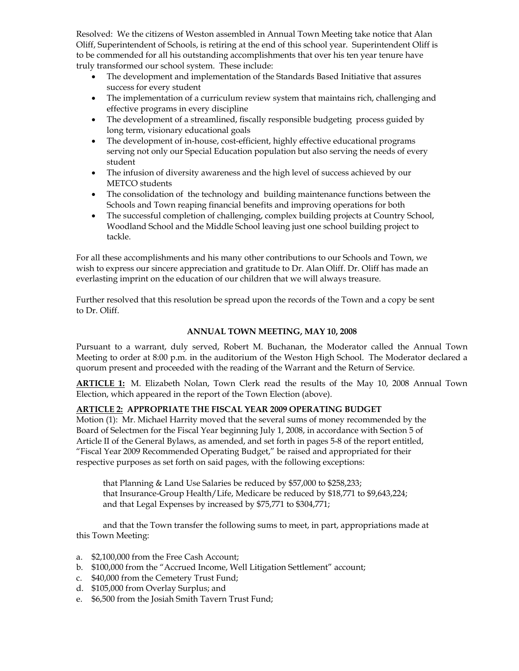Resolved: We the citizens of Weston assembled in Annual Town Meeting take notice that Alan Oliff, Superintendent of Schools, is retiring at the end of this school year. Superintendent Oliff is to be commended for all his outstanding accomplishments that over his ten year tenure have truly transformed our school system. These include:

- The development and implementation of the Standards Based Initiative that assures success for every student
- The implementation of a curriculum review system that maintains rich, challenging and effective programs in every discipline
- The development of a streamlined, fiscally responsible budgeting process guided by long term, visionary educational goals
- The development of in-house, cost-efficient, highly effective educational programs serving not only our Special Education population but also serving the needs of every student
- The infusion of diversity awareness and the high level of success achieved by our METCO students
- The consolidation of the technology and building maintenance functions between the Schools and Town reaping financial benefits and improving operations for both
- The successful completion of challenging, complex building projects at Country School, Woodland School and the Middle School leaving just one school building project to tackle.

For all these accomplishments and his many other contributions to our Schools and Town, we wish to express our sincere appreciation and gratitude to Dr. Alan Oliff. Dr. Oliff has made an everlasting imprint on the education of our children that we will always treasure.

Further resolved that this resolution be spread upon the records of the Town and a copy be sent to Dr. Oliff.

## **ANNUAL TOWN MEETING, MAY 10, 2008**

Pursuant to a warrant, duly served, Robert M. Buchanan, the Moderator called the Annual Town Meeting to order at 8:00 p.m. in the auditorium of the Weston High School. The Moderator declared a quorum present and proceeded with the reading of the Warrant and the Return of Service.

**ARTICLE 1:** M. Elizabeth Nolan, Town Clerk read the results of the May 10, 2008 Annual Town Election, which appeared in the report of the Town Election (above).

## **ARTICLE 2: APPROPRIATE THE FISCAL YEAR 2009 OPERATING BUDGET**

Motion (1): Mr. Michael Harrity moved that the several sums of money recommended by the Board of Selectmen for the Fiscal Year beginning July 1, 2008, in accordance with Section 5 of Article II of the General Bylaws, as amended, and set forth in pages 5-8 of the report entitled, "Fiscal Year 2009 Recommended Operating Budget," be raised and appropriated for their respective purposes as set forth on said pages, with the following exceptions:

that Planning & Land Use Salaries be reduced by \$57,000 to \$258,233; that Insurance-Group Health/Life, Medicare be reduced by \$18,771 to \$9,643,224; and that Legal Expenses by increased by \$75,771 to \$304,771;

and that the Town transfer the following sums to meet, in part, appropriations made at this Town Meeting:

- a. \$2,100,000 from the Free Cash Account;
- b. \$100,000 from the "Accrued Income, Well Litigation Settlement" account;
- c. \$40,000 from the Cemetery Trust Fund;
- d. \$105,000 from Overlay Surplus; and
- e. \$6,500 from the Josiah Smith Tavern Trust Fund;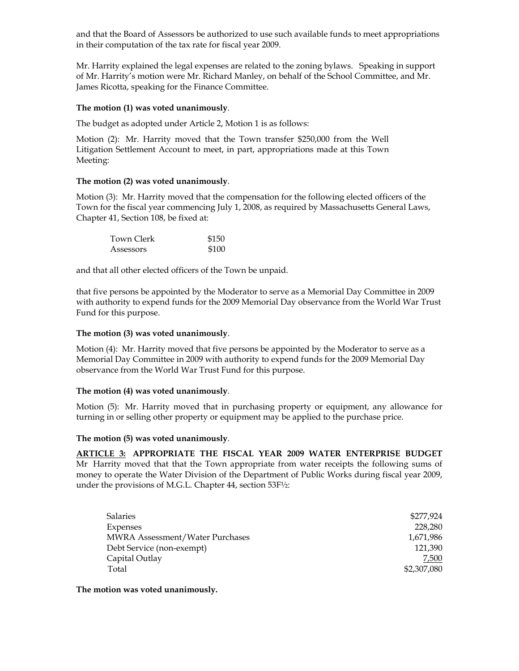and that the Board of Assessors be authorized to use such available funds to meet appropriations in their computation of the tax rate for fiscal year 2009.

Mr. Harrity explained the legal expenses are related to the zoning bylaws. Speaking in support of Mr. Harrity's motion were Mr. Richard Manley, on behalf of the School Committee, and Mr. James Ricotta, speaking for the Finance Committee.

## **The motion (1) was voted unanimously**.

The budget as adopted under Article 2, Motion 1 is as follows:

Motion (2): Mr. Harrity moved that the Town transfer \$250,000 from the Well Litigation Settlement Account to meet, in part, appropriations made at this Town Meeting:

## **The motion (2) was voted unanimously**.

Motion (3): Mr. Harrity moved that the compensation for the following elected officers of the Town for the fiscal year commencing July 1, 2008, as required by Massachusetts General Laws, Chapter 41, Section 108, be fixed at:

| Town Clerk | \$150 |
|------------|-------|
| Assessors  | \$100 |

and that all other elected officers of the Town be unpaid.

that five persons be appointed by the Moderator to serve as a Memorial Day Committee in 2009 with authority to expend funds for the 2009 Memorial Day observance from the World War Trust Fund for this purpose.

## **The motion (3) was voted unanimously**.

Motion (4): Mr. Harrity moved that five persons be appointed by the Moderator to serve as a Memorial Day Committee in 2009 with authority to expend funds for the 2009 Memorial Day observance from the World War Trust Fund for this purpose.

### **The motion (4) was voted unanimously**.

Motion (5): Mr. Harrity moved that in purchasing property or equipment, any allowance for turning in or selling other property or equipment may be applied to the purchase price.

### **The motion (5) was voted unanimously**.

**ARTICLE 3: APPROPRIATE THE FISCAL YEAR 2009 WATER ENTERPRISE BUDGET** Mr Harrity moved that that the Town appropriate from water receipts the following sums of money to operate the Water Division of the Department of Public Works during fiscal year 2009, under the provisions of M.G.L. Chapter 44, section 53F½:

| <b>Salaries</b>                        | \$277,924   |
|----------------------------------------|-------------|
| Expenses                               | 228,280     |
| <b>MWRA Assessment/Water Purchases</b> | 1,671,986   |
| Debt Service (non-exempt)              | 121,390     |
| Capital Outlay                         | 7,500       |
| Total                                  | \$2,307,080 |

**The motion was voted unanimously.**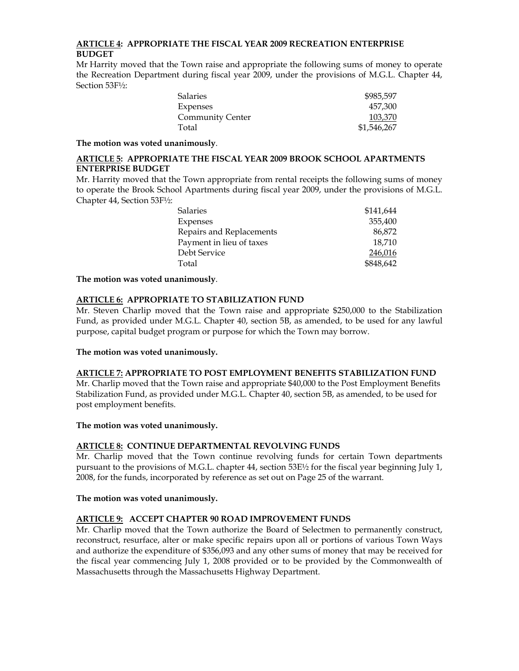## **ARTICLE 4: APPROPRIATE THE FISCAL YEAR 2009 RECREATION ENTERPRISE BUDGET**

Mr Harrity moved that the Town raise and appropriate the following sums of money to operate the Recreation Department during fiscal year 2009, under the provisions of M.G.L. Chapter 44, Section 53F½:

| Salaries         | \$985,597   |
|------------------|-------------|
| Expenses         | 457,300     |
| Community Center | 103,370     |
| Total            | \$1,546,267 |

**The motion was voted unanimously**.

## **ARTICLE 5: APPROPRIATE THE FISCAL YEAR 2009 BROOK SCHOOL APARTMENTS ENTERPRISE BUDGET**

Mr. Harrity moved that the Town appropriate from rental receipts the following sums of money to operate the Brook School Apartments during fiscal year 2009, under the provisions of M.G.L. Chapter 44, Section 53F½:

| <b>Salaries</b>          | \$141,644 |
|--------------------------|-----------|
| Expenses                 | 355,400   |
| Repairs and Replacements | 86,872    |
| Payment in lieu of taxes | 18.710    |
| Debt Service             | 246,016   |
| Total                    | \$848,642 |

**The motion was voted unanimously**.

# **ARTICLE 6: APPROPRIATE TO STABILIZATION FUND**

Mr. Steven Charlip moved that the Town raise and appropriate \$250,000 to the Stabilization Fund, as provided under M.G.L. Chapter 40, section 5B, as amended, to be used for any lawful purpose, capital budget program or purpose for which the Town may borrow.

## **The motion was voted unanimously.**

### **ARTICLE 7: APPROPRIATE TO POST EMPLOYMENT BENEFITS STABILIZATION FUND**

Mr. Charlip moved that the Town raise and appropriate \$40,000 to the Post Employment Benefits Stabilization Fund, as provided under M.G.L. Chapter 40, section 5B, as amended, to be used for post employment benefits.

### **The motion was voted unanimously.**

### **ARTICLE 8: CONTINUE DEPARTMENTAL REVOLVING FUNDS**

Mr. Charlip moved that the Town continue revolving funds for certain Town departments pursuant to the provisions of M.G.L. chapter 44, section 53E½ for the fiscal year beginning July 1, 2008, for the funds, incorporated by reference as set out on Page 25 of the warrant.

### **The motion was voted unanimously.**

## **ARTICLE 9: ACCEPT CHAPTER 90 ROAD IMPROVEMENT FUNDS**

Mr. Charlip moved that the Town authorize the Board of Selectmen to permanently construct, reconstruct, resurface, alter or make specific repairs upon all or portions of various Town Ways and authorize the expenditure of \$356,093 and any other sums of money that may be received for the fiscal year commencing July 1, 2008 provided or to be provided by the Commonwealth of Massachusetts through the Massachusetts Highway Department.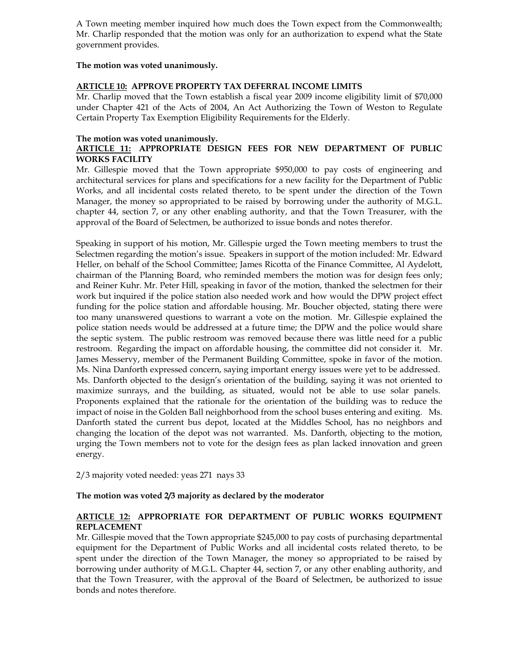A Town meeting member inquired how much does the Town expect from the Commonwealth; Mr. Charlip responded that the motion was only for an authorization to expend what the State government provides.

## **The motion was voted unanimously.**

## **ARTICLE 10: APPROVE PROPERTY TAX DEFERRAL INCOME LIMITS**

Mr. Charlip moved that the Town establish a fiscal year 2009 income eligibility limit of \$70,000 under Chapter 421 of the Acts of 2004, An Act Authorizing the Town of Weston to Regulate Certain Property Tax Exemption Eligibility Requirements for the Elderly.

## **The motion was voted unanimously.**

## **ARTICLE 11: APPROPRIATE DESIGN FEES FOR NEW DEPARTMENT OF PUBLIC WORKS FACILITY**

Mr. Gillespie moved that the Town appropriate \$950,000 to pay costs of engineering and architectural services for plans and specifications for a new facility for the Department of Public Works, and all incidental costs related thereto, to be spent under the direction of the Town Manager, the money so appropriated to be raised by borrowing under the authority of M.G.L. chapter 44, section 7, or any other enabling authority, and that the Town Treasurer, with the approval of the Board of Selectmen, be authorized to issue bonds and notes therefor.

Speaking in support of his motion, Mr. Gillespie urged the Town meeting members to trust the Selectmen regarding the motion's issue. Speakers in support of the motion included: Mr. Edward Heller, on behalf of the School Committee; James Ricotta of the Finance Committee, Al Aydelott, chairman of the Planning Board, who reminded members the motion was for design fees only; and Reiner Kuhr. Mr. Peter Hill, speaking in favor of the motion, thanked the selectmen for their work but inquired if the police station also needed work and how would the DPW project effect funding for the police station and affordable housing. Mr. Boucher objected, stating there were too many unanswered questions to warrant a vote on the motion. Mr. Gillespie explained the police station needs would be addressed at a future time; the DPW and the police would share the septic system. The public restroom was removed because there was little need for a public restroom. Regarding the impact on affordable housing, the committee did not consider it. Mr. James Messervy, member of the Permanent Building Committee, spoke in favor of the motion. Ms. Nina Danforth expressed concern, saying important energy issues were yet to be addressed. Ms. Danforth objected to the design's orientation of the building, saying it was not oriented to maximize sunrays, and the building, as situated, would not be able to use solar panels. Proponents explained that the rationale for the orientation of the building was to reduce the impact of noise in the Golden Ball neighborhood from the school buses entering and exiting. Ms. Danforth stated the current bus depot, located at the Middles School, has no neighbors and changing the location of the depot was not warranted. Ms. Danforth, objecting to the motion, urging the Town members not to vote for the design fees as plan lacked innovation and green energy.

2/3 majority voted needed: yeas 271 nays 33

## **The motion was voted 2/3 majority as declared by the moderator**

## **ARTICLE 12: APPROPRIATE FOR DEPARTMENT OF PUBLIC WORKS EQUIPMENT REPLACEMENT**

Mr. Gillespie moved that the Town appropriate \$245,000 to pay costs of purchasing departmental equipment for the Department of Public Works and all incidental costs related thereto, to be spent under the direction of the Town Manager, the money so appropriated to be raised by borrowing under authority of M.G.L. Chapter 44, section 7, or any other enabling authority, and that the Town Treasurer, with the approval of the Board of Selectmen, be authorized to issue bonds and notes therefore.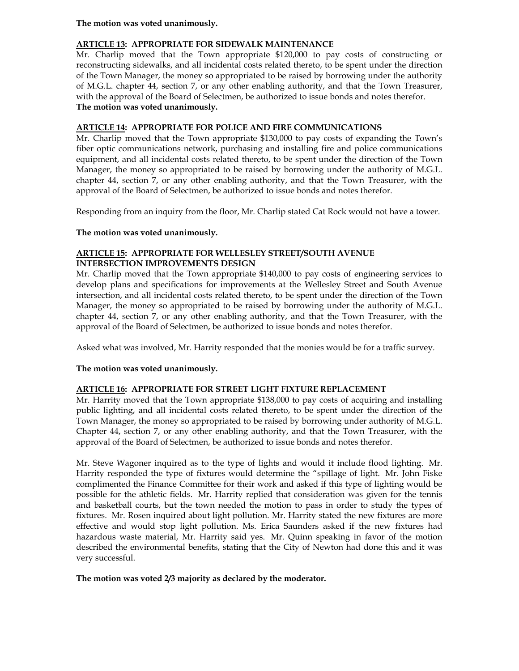## **The motion was voted unanimously.**

## **ARTICLE 13: APPROPRIATE FOR SIDEWALK MAINTENANCE**

Mr. Charlip moved that the Town appropriate \$120,000 to pay costs of constructing or reconstructing sidewalks, and all incidental costs related thereto, to be spent under the direction of the Town Manager, the money so appropriated to be raised by borrowing under the authority of M.G.L. chapter 44, section 7, or any other enabling authority, and that the Town Treasurer, with the approval of the Board of Selectmen, be authorized to issue bonds and notes therefor. **The motion was voted unanimously.** 

## **ARTICLE 14: APPROPRIATE FOR POLICE AND FIRE COMMUNICATIONS**

Mr. Charlip moved that the Town appropriate \$130,000 to pay costs of expanding the Town's fiber optic communications network, purchasing and installing fire and police communications equipment, and all incidental costs related thereto, to be spent under the direction of the Town Manager, the money so appropriated to be raised by borrowing under the authority of M.G.L. chapter 44, section 7, or any other enabling authority, and that the Town Treasurer, with the approval of the Board of Selectmen, be authorized to issue bonds and notes therefor.

Responding from an inquiry from the floor, Mr. Charlip stated Cat Rock would not have a tower.

### **The motion was voted unanimously.**

## **ARTICLE 15: APPROPRIATE FOR WELLESLEY STREET/SOUTH AVENUE INTERSECTION IMPROVEMENTS DESIGN**

Mr. Charlip moved that the Town appropriate \$140,000 to pay costs of engineering services to develop plans and specifications for improvements at the Wellesley Street and South Avenue intersection, and all incidental costs related thereto, to be spent under the direction of the Town Manager, the money so appropriated to be raised by borrowing under the authority of M.G.L. chapter 44, section 7, or any other enabling authority, and that the Town Treasurer, with the approval of the Board of Selectmen, be authorized to issue bonds and notes therefor.

Asked what was involved, Mr. Harrity responded that the monies would be for a traffic survey.

### **The motion was voted unanimously.**

### **ARTICLE 16: APPROPRIATE FOR STREET LIGHT FIXTURE REPLACEMENT**

Mr. Harrity moved that the Town appropriate \$138,000 to pay costs of acquiring and installing public lighting, and all incidental costs related thereto, to be spent under the direction of the Town Manager, the money so appropriated to be raised by borrowing under authority of M.G.L. Chapter 44, section 7, or any other enabling authority, and that the Town Treasurer, with the approval of the Board of Selectmen, be authorized to issue bonds and notes therefor.

Mr. Steve Wagoner inquired as to the type of lights and would it include flood lighting. Mr. Harrity responded the type of fixtures would determine the "spillage of light. Mr. John Fiske complimented the Finance Committee for their work and asked if this type of lighting would be possible for the athletic fields. Mr. Harrity replied that consideration was given for the tennis and basketball courts, but the town needed the motion to pass in order to study the types of fixtures. Mr. Rosen inquired about light pollution. Mr. Harrity stated the new fixtures are more effective and would stop light pollution. Ms. Erica Saunders asked if the new fixtures had hazardous waste material, Mr. Harrity said yes. Mr. Quinn speaking in favor of the motion described the environmental benefits, stating that the City of Newton had done this and it was very successful.

### **The motion was voted 2/3 majority as declared by the moderator.**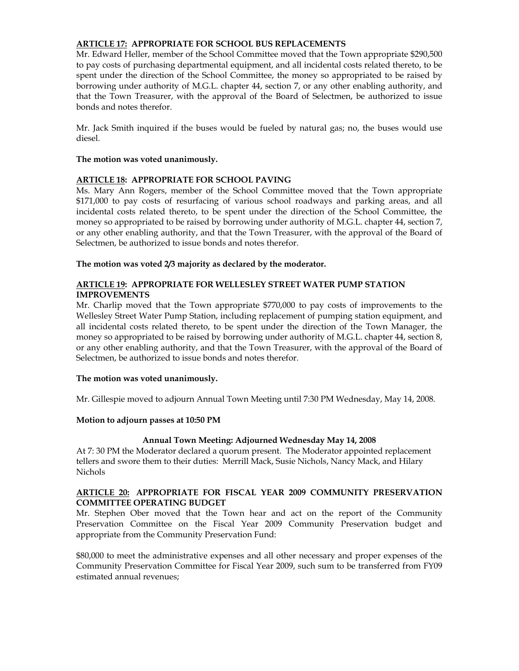## **ARTICLE 17: APPROPRIATE FOR SCHOOL BUS REPLACEMENTS**

Mr. Edward Heller, member of the School Committee moved that the Town appropriate \$290,500 to pay costs of purchasing departmental equipment, and all incidental costs related thereto, to be spent under the direction of the School Committee, the money so appropriated to be raised by borrowing under authority of M.G.L. chapter 44, section 7, or any other enabling authority, and that the Town Treasurer, with the approval of the Board of Selectmen, be authorized to issue bonds and notes therefor.

Mr. Jack Smith inquired if the buses would be fueled by natural gas; no, the buses would use diesel.

### **The motion was voted unanimously.**

### **ARTICLE 18: APPROPRIATE FOR SCHOOL PAVING**

Ms. Mary Ann Rogers, member of the School Committee moved that the Town appropriate \$171,000 to pay costs of resurfacing of various school roadways and parking areas, and all incidental costs related thereto, to be spent under the direction of the School Committee, the money so appropriated to be raised by borrowing under authority of M.G.L. chapter 44, section 7, or any other enabling authority, and that the Town Treasurer, with the approval of the Board of Selectmen, be authorized to issue bonds and notes therefor.

### **The motion was voted 2/3 majority as declared by the moderator.**

## **ARTICLE 19: APPROPRIATE FOR WELLESLEY STREET WATER PUMP STATION IMPROVEMENTS**

Mr. Charlip moved that the Town appropriate \$770,000 to pay costs of improvements to the Wellesley Street Water Pump Station, including replacement of pumping station equipment, and all incidental costs related thereto, to be spent under the direction of the Town Manager, the money so appropriated to be raised by borrowing under authority of M.G.L. chapter 44, section 8, or any other enabling authority, and that the Town Treasurer, with the approval of the Board of Selectmen, be authorized to issue bonds and notes therefor.

### **The motion was voted unanimously.**

Mr. Gillespie moved to adjourn Annual Town Meeting until 7:30 PM Wednesday, May 14, 2008.

### **Motion to adjourn passes at 10:50 PM**

### **Annual Town Meeting: Adjourned Wednesday May 14, 2008**

At 7: 30 PM the Moderator declared a quorum present. The Moderator appointed replacement tellers and swore them to their duties: Merrill Mack, Susie Nichols, Nancy Mack, and Hilary Nichols

#### **ARTICLE 20: APPROPRIATE FOR FISCAL YEAR 2009 COMMUNITY PRESERVATION COMMITTEE OPERATING BUDGET**

Mr. Stephen Ober moved that the Town hear and act on the report of the Community Preservation Committee on the Fiscal Year 2009 Community Preservation budget and appropriate from the Community Preservation Fund:

\$80,000 to meet the administrative expenses and all other necessary and proper expenses of the Community Preservation Committee for Fiscal Year 2009, such sum to be transferred from FY09 estimated annual revenues;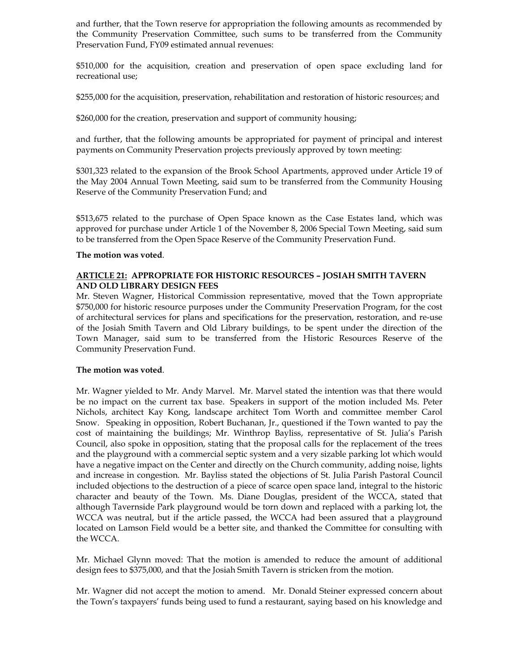and further, that the Town reserve for appropriation the following amounts as recommended by the Community Preservation Committee, such sums to be transferred from the Community Preservation Fund, FY09 estimated annual revenues:

\$510,000 for the acquisition, creation and preservation of open space excluding land for recreational use;

\$255,000 for the acquisition, preservation, rehabilitation and restoration of historic resources; and

\$260,000 for the creation, preservation and support of community housing;

and further, that the following amounts be appropriated for payment of principal and interest payments on Community Preservation projects previously approved by town meeting:

\$301,323 related to the expansion of the Brook School Apartments, approved under Article 19 of the May 2004 Annual Town Meeting, said sum to be transferred from the Community Housing Reserve of the Community Preservation Fund; and

\$513,675 related to the purchase of Open Space known as the Case Estates land, which was approved for purchase under Article 1 of the November 8, 2006 Special Town Meeting, said sum to be transferred from the Open Space Reserve of the Community Preservation Fund.

### **The motion was voted**.

## **ARTICLE 21: APPROPRIATE FOR HISTORIC RESOURCES – JOSIAH SMITH TAVERN AND OLD LIBRARY DESIGN FEES**

Mr. Steven Wagner, Historical Commission representative, moved that the Town appropriate \$750,000 for historic resource purposes under the Community Preservation Program, for the cost of architectural services for plans and specifications for the preservation, restoration, and re-use of the Josiah Smith Tavern and Old Library buildings, to be spent under the direction of the Town Manager, said sum to be transferred from the Historic Resources Reserve of the Community Preservation Fund.

### **The motion was voted**.

Mr. Wagner yielded to Mr. Andy Marvel. Mr. Marvel stated the intention was that there would be no impact on the current tax base. Speakers in support of the motion included Ms. Peter Nichols, architect Kay Kong, landscape architect Tom Worth and committee member Carol Snow. Speaking in opposition, Robert Buchanan, Jr., questioned if the Town wanted to pay the cost of maintaining the buildings; Mr. Winthrop Bayliss, representative of St. Julia's Parish Council, also spoke in opposition, stating that the proposal calls for the replacement of the trees and the playground with a commercial septic system and a very sizable parking lot which would have a negative impact on the Center and directly on the Church community, adding noise, lights and increase in congestion. Mr. Bayliss stated the objections of St. Julia Parish Pastoral Council included objections to the destruction of a piece of scarce open space land, integral to the historic character and beauty of the Town. Ms. Diane Douglas, president of the WCCA, stated that although Tavernside Park playground would be torn down and replaced with a parking lot, the WCCA was neutral, but if the article passed, the WCCA had been assured that a playground located on Lamson Field would be a better site, and thanked the Committee for consulting with the WCCA.

Mr. Michael Glynn moved: That the motion is amended to reduce the amount of additional design fees to \$375,000, and that the Josiah Smith Tavern is stricken from the motion.

Mr. Wagner did not accept the motion to amend. Mr. Donald Steiner expressed concern about the Town's taxpayers' funds being used to fund a restaurant, saying based on his knowledge and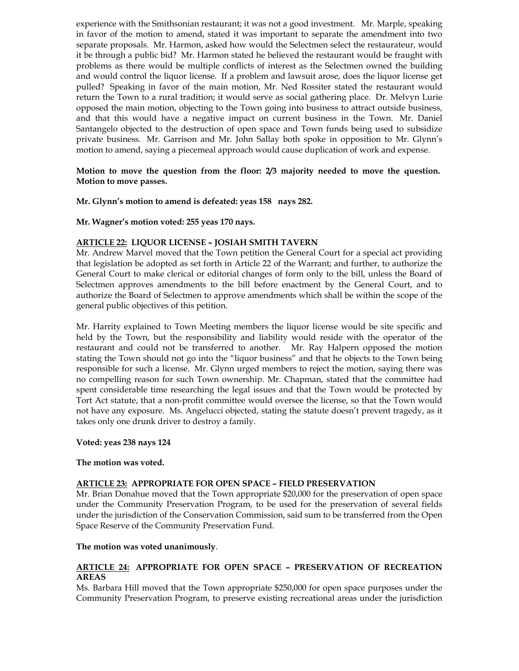experience with the Smithsonian restaurant; it was not a good investment. Mr. Marple, speaking in favor of the motion to amend, stated it was important to separate the amendment into two separate proposals. Mr. Harmon, asked how would the Selectmen select the restaurateur, would it be through a public bid? Mr. Harmon stated he believed the restaurant would be fraught with problems as there would be multiple conflicts of interest as the Selectmen owned the building and would control the liquor license. If a problem and lawsuit arose, does the liquor license get pulled? Speaking in favor of the main motion, Mr. Ned Rossiter stated the restaurant would return the Town to a rural tradition; it would serve as social gathering place. Dr. Melvyn Lurie opposed the main motion, objecting to the Town going into business to attract outside business, and that this would have a negative impact on current business in the Town. Mr. Daniel Santangelo objected to the destruction of open space and Town funds being used to subsidize private business. Mr. Garrison and Mr. John Sallay both spoke in opposition to Mr. Glynn's motion to amend, saying a piecemeal approach would cause duplication of work and expense.

## **Motion to move the question from the floor: 2/3 majority needed to move the question. Motion to move passes.**

### **Mr. Glynn's motion to amend is defeated: yeas 158 nays 282.**

**Mr. Wagner's motion voted: 255 yeas 170 nays.** 

### **ARTICLE 22: LIQUOR LICENSE – JOSIAH SMITH TAVERN**

Mr. Andrew Marvel moved that the Town petition the General Court for a special act providing that legislation be adopted as set forth in Article 22 of the Warrant; and further, to authorize the General Court to make clerical or editorial changes of form only to the bill, unless the Board of Selectmen approves amendments to the bill before enactment by the General Court, and to authorize the Board of Selectmen to approve amendments which shall be within the scope of the general public objectives of this petition.

Mr. Harrity explained to Town Meeting members the liquor license would be site specific and held by the Town, but the responsibility and liability would reside with the operator of the restaurant and could not be transferred to another. Mr. Ray Halpern opposed the motion stating the Town should not go into the "liquor business" and that he objects to the Town being responsible for such a license. Mr. Glynn urged members to reject the motion, saying there was no compelling reason for such Town ownership. Mr. Chapman, stated that the committee had spent considerable time researching the legal issues and that the Town would be protected by Tort Act statute, that a non-profit committee would oversee the license, so that the Town would not have any exposure. Ms. Angelucci objected, stating the statute doesn't prevent tragedy, as it takes only one drunk driver to destroy a family.

#### **Voted: yeas 238 nays 124**

#### **The motion was voted.**

#### **ARTICLE 23: APPROPRIATE FOR OPEN SPACE – FIELD PRESERVATION**

Mr. Brian Donahue moved that the Town appropriate \$20,000 for the preservation of open space under the Community Preservation Program, to be used for the preservation of several fields under the jurisdiction of the Conservation Commission, said sum to be transferred from the Open Space Reserve of the Community Preservation Fund.

#### **The motion was voted unanimously**.

### **ARTICLE 24: APPROPRIATE FOR OPEN SPACE – PRESERVATION OF RECREATION AREAS**

Ms. Barbara Hill moved that the Town appropriate \$250,000 for open space purposes under the Community Preservation Program, to preserve existing recreational areas under the jurisdiction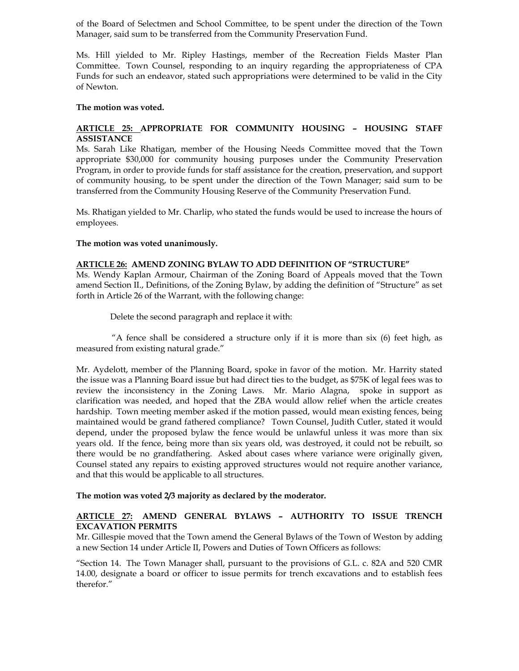of the Board of Selectmen and School Committee, to be spent under the direction of the Town Manager, said sum to be transferred from the Community Preservation Fund.

Ms. Hill yielded to Mr. Ripley Hastings, member of the Recreation Fields Master Plan Committee. Town Counsel, responding to an inquiry regarding the appropriateness of CPA Funds for such an endeavor, stated such appropriations were determined to be valid in the City of Newton.

#### **The motion was voted.**

## **ARTICLE 25: APPROPRIATE FOR COMMUNITY HOUSING – HOUSING STAFF ASSISTANCE**

Ms. Sarah Like Rhatigan, member of the Housing Needs Committee moved that the Town appropriate \$30,000 for community housing purposes under the Community Preservation Program, in order to provide funds for staff assistance for the creation, preservation, and support of community housing, to be spent under the direction of the Town Manager; said sum to be transferred from the Community Housing Reserve of the Community Preservation Fund.

Ms. Rhatigan yielded to Mr. Charlip, who stated the funds would be used to increase the hours of employees.

## **The motion was voted unanimously.**

## **ARTICLE 26: AMEND ZONING BYLAW TO ADD DEFINITION OF "STRUCTURE"**

Ms. Wendy Kaplan Armour, Chairman of the Zoning Board of Appeals moved that the Town amend Section II., Definitions, of the Zoning Bylaw, by adding the definition of "Structure" as set forth in Article 26 of the Warrant, with the following change:

Delete the second paragraph and replace it with:

"A fence shall be considered a structure only if it is more than  $six$  (6) feet high, as measured from existing natural grade."

Mr. Aydelott, member of the Planning Board, spoke in favor of the motion. Mr. Harrity stated the issue was a Planning Board issue but had direct ties to the budget, as \$75K of legal fees was to review the inconsistency in the Zoning Laws. Mr. Mario Alagna, spoke in support as clarification was needed, and hoped that the ZBA would allow relief when the article creates hardship. Town meeting member asked if the motion passed, would mean existing fences, being maintained would be grand fathered compliance? Town Counsel, Judith Cutler, stated it would depend, under the proposed bylaw the fence would be unlawful unless it was more than six years old. If the fence, being more than six years old, was destroyed, it could not be rebuilt, so there would be no grandfathering. Asked about cases where variance were originally given, Counsel stated any repairs to existing approved structures would not require another variance, and that this would be applicable to all structures.

#### **The motion was voted 2/3 majority as declared by the moderator.**

### **ARTICLE 27: AMEND GENERAL BYLAWS – AUTHORITY TO ISSUE TRENCH EXCAVATION PERMITS**

Mr. Gillespie moved that the Town amend the General Bylaws of the Town of Weston by adding a new Section 14 under Article II, Powers and Duties of Town Officers as follows:

"Section 14. The Town Manager shall, pursuant to the provisions of G.L. c. 82A and 520 CMR 14.00, designate a board or officer to issue permits for trench excavations and to establish fees therefor."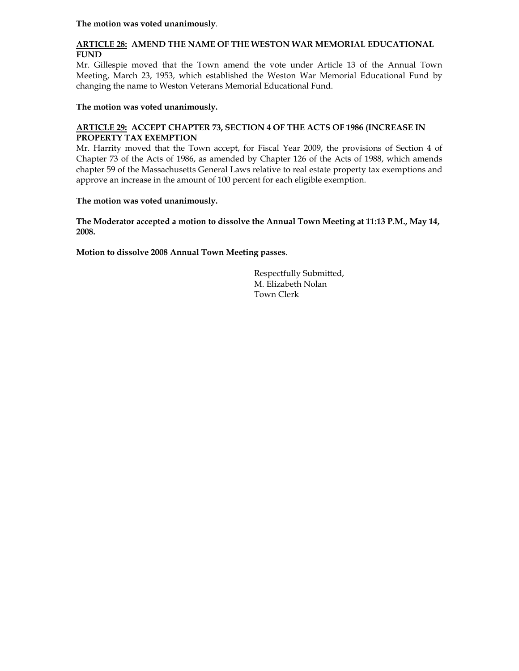**The motion was voted unanimously**.

# **ARTICLE 28: AMEND THE NAME OF THE WESTON WAR MEMORIAL EDUCATIONAL FUND**

Mr. Gillespie moved that the Town amend the vote under Article 13 of the Annual Town Meeting, March 23, 1953, which established the Weston War Memorial Educational Fund by changing the name to Weston Veterans Memorial Educational Fund.

## **The motion was voted unanimously.**

## **ARTICLE 29: ACCEPT CHAPTER 73, SECTION 4 OF THE ACTS OF 1986 (INCREASE IN PROPERTY TAX EXEMPTION**

Mr. Harrity moved that the Town accept, for Fiscal Year 2009, the provisions of Section 4 of Chapter 73 of the Acts of 1986, as amended by Chapter 126 of the Acts of 1988, which amends chapter 59 of the Massachusetts General Laws relative to real estate property tax exemptions and approve an increase in the amount of 100 percent for each eligible exemption.

## **The motion was voted unanimously.**

**The Moderator accepted a motion to dissolve the Annual Town Meeting at 11:13 P.M., May 14, 2008.** 

**Motion to dissolve 2008 Annual Town Meeting passes**.

 Respectfully Submitted, M. Elizabeth Nolan Town Clerk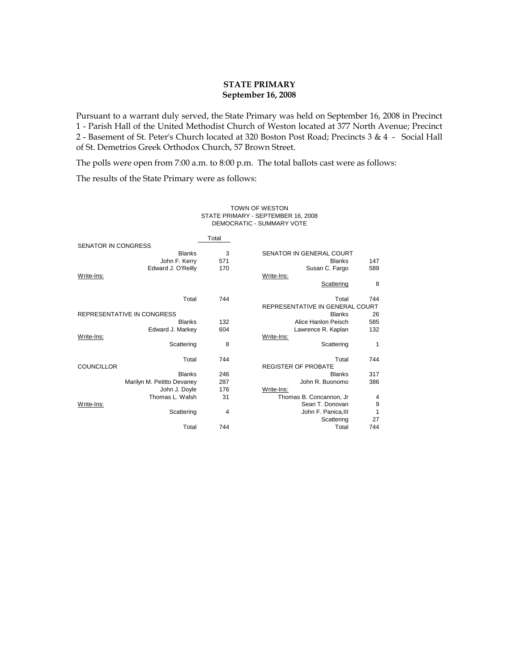### **STATE PRIMARY September 16, 2008**

Pursuant to a warrant duly served, the State Primary was held on September 16, 2008 in Precinct 1 - Parish Hall of the United Methodist Church of Weston located at 377 North Avenue; Precinct 2 - Basement of St. Peter's Church located at 320 Boston Post Road; Precincts 3 & 4 - Social Hall of St. Demetrios Greek Orthodox Church, 57 Brown Street.

The polls were open from 7:00 a.m. to 8:00 p.m. The total ballots cast were as follows:

The results of the State Primary were as follows:

#### TOWN OF WESTON STATE PRIMARY - SEPTEMBER 16, 2008 DEMOCRATIC - SUMMARY VOTE

|                            |                            | Total |                                 |     |
|----------------------------|----------------------------|-------|---------------------------------|-----|
| <b>SENATOR IN CONGRESS</b> |                            |       |                                 |     |
|                            | <b>Blanks</b>              | 3     | SENATOR IN GENERAL COURT        |     |
|                            | John F. Kerry              | 571   | <b>Blanks</b>                   | 147 |
|                            | Edward J. O'Reilly         | 170   | Susan C. Fargo                  | 589 |
| Write-Ins:                 |                            |       | Write-Ins:                      |     |
|                            |                            |       | Scattering                      | 8   |
|                            | Total                      | 744   | Total                           | 744 |
|                            |                            |       | REPRESENTATIVE IN GENERAL COURT |     |
| REPRESENTATIVE IN CONGRESS |                            |       | <b>Blanks</b>                   | 26  |
|                            | <b>Blanks</b>              | 132   | Alice Hanlon Peisch             | 585 |
|                            | Edward J. Markey           | 604   | Lawrence R. Kaplan              | 132 |
| Write-Ins:                 |                            |       | Write-Ins:                      |     |
|                            | Scattering                 | 8     | Scattering                      | 1   |
|                            | Total                      | 744   | Total                           | 744 |
| <b>COUNCILLOR</b>          |                            |       | <b>REGISTER OF PROBATE</b>      |     |
|                            | <b>Blanks</b>              | 246   | <b>Blanks</b>                   | 317 |
|                            | Marilyn M. Petitto Devaney | 287   | John R. Buonomo                 | 386 |
|                            | John J. Doyle              | 176   | Write-Ins:                      |     |
|                            | Thomas L. Walsh            | 31    | Thomas B. Concannon, Jr         | 4   |
| Write-Ins:                 |                            |       | Sean T. Donovan                 | 9   |
|                            | Scattering                 | 4     | John F. Panica, III             | 1   |
|                            |                            |       | Scattering                      | 27  |
|                            | Total                      | 744   | Total                           | 744 |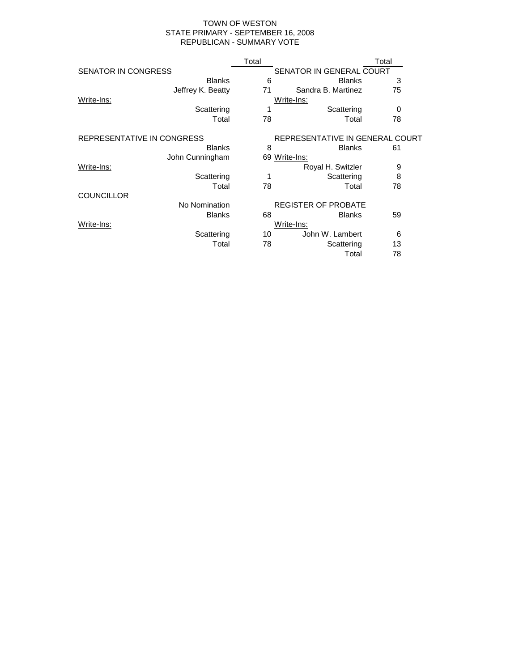#### TOWN OF WESTON STATE PRIMARY - SEPTEMBER 16, 2008 REPUBLICAN - SUMMARY VOTE

|                            | Total      |                                 | Total |
|----------------------------|------------|---------------------------------|-------|
| SENATOR IN CONGRESS        |            | SENATOR IN GENERAL COURT        |       |
| <b>Blanks</b>              | 6          | <b>Blanks</b>                   | 3     |
| Jeffrey K. Beatty          | 71         | Sandra B. Martinez              | 75    |
| Write-Ins:                 |            | Write-Ins:                      |       |
| Scattering                 | 1          | Scattering                      | 0     |
| Total                      | 78         | Total                           | 78    |
| REPRESENTATIVE IN CONGRESS |            | REPRESENTATIVE IN GENERAL COURT |       |
| <b>Blanks</b>              | 8          | <b>Blanks</b>                   | 61    |
| John Cunningham            |            | 69 Write-Ins:                   |       |
| Write-Ins:                 |            | Royal H. Switzler               | 9     |
| Scattering                 | 1          | Scattering                      | 8     |
| Total                      | 78         | Total                           | 78    |
| <b>COUNCILLOR</b>          |            |                                 |       |
| No Nomination              |            | <b>REGISTER OF PROBATE</b>      |       |
| <b>Blanks</b>              | 68         | <b>Blanks</b>                   | 59    |
| Write-Ins:                 | Write-Ins: |                                 |       |
| Scattering                 | 10         | John W. Lambert                 | 6     |
| Total                      | 78         | Scattering                      | 13    |
|                            |            | Total                           | 78    |
|                            |            |                                 |       |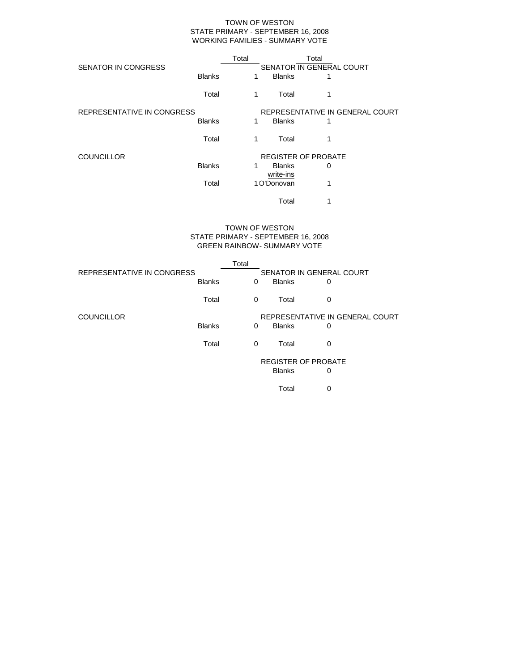#### TOWN OF WESTON STATE PRIMARY - SEPTEMBER 16, 2008 WORKING FAMILIES - SUMMARY VOTE

|                            |               | Total |                            | Total                           |  |
|----------------------------|---------------|-------|----------------------------|---------------------------------|--|
| <b>SENATOR IN CONGRESS</b> |               |       |                            | SENATOR IN GENERAL COURT        |  |
|                            | <b>Blanks</b> | 1     | <b>Blanks</b>              | 1                               |  |
|                            | Total         | 1     | Total                      | 1                               |  |
| REPRESENTATIVE IN CONGRESS |               |       |                            | REPRESENTATIVE IN GENERAL COURT |  |
|                            | <b>Blanks</b> | 1     | <b>Blanks</b>              |                                 |  |
|                            | Total         | 1     | Total                      | 1                               |  |
| <b>COUNCILLOR</b>          |               |       |                            | <b>REGISTER OF PROBATE</b>      |  |
|                            | <b>Blanks</b> | 1     | <b>Blanks</b><br>write-ins | 0                               |  |
|                            | Total         |       | 1 O'Donovan                | 1                               |  |
|                            |               |       | Total                      | 1                               |  |

#### STATE PRIMARY - SEPTEMBER 16, 2008 GREEN RAINBOW- SUMMARY VOTE TOWN OF WESTON

|                            |               | Total    |               |                                 |  |
|----------------------------|---------------|----------|---------------|---------------------------------|--|
| REPRESENTATIVE IN CONGRESS |               |          |               | SENATOR IN GENERAL COURT        |  |
|                            | <b>Blanks</b> | 0        | <b>Blanks</b> | 0                               |  |
|                            | Total         | 0        | Total         | 0                               |  |
| <b>COUNCILLOR</b>          |               |          |               | REPRESENTATIVE IN GENERAL COURT |  |
|                            | <b>Blanks</b> | $\Omega$ | <b>Blanks</b> | 0                               |  |
|                            | Total         | $\Omega$ | Total         | 0                               |  |
|                            |               |          |               | <b>REGISTER OF PROBATE</b>      |  |
|                            |               |          | <b>Blanks</b> | 0                               |  |
|                            |               |          | Total         | 0                               |  |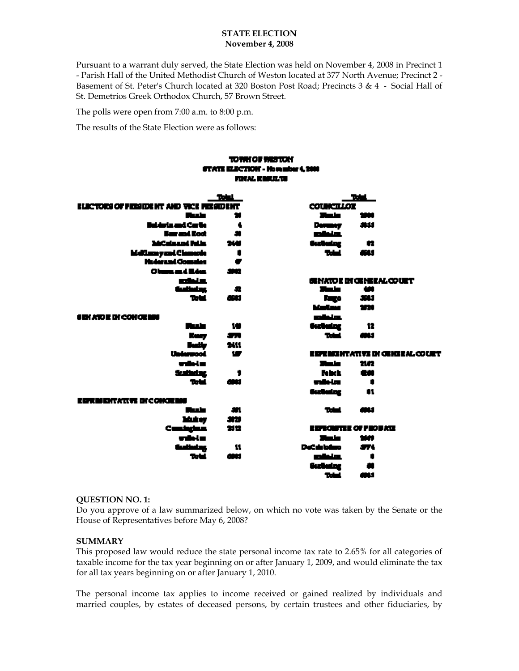### **STATE ELECTION November 4, 2008**

Pursuant to a warrant duly served, the State Election was held on November 4, 2008 in Precinct 1 - Parish Hall of the United Methodist Church of Weston located at 377 North Avenue; Precinct 2 - Basement of St. Peter's Church located at 320 Boston Post Road; Precincts 3 & 4 - Social Hall of St. Demetrios Greek Orthodox Church, 57 Brown Street.

The polls were open from 7:00 a.m. to 8:00 p.m.

The results of the State Election were as follows:

## TO THE OF THEFTON STATE ELECTION - Homelos 4,2000 FORAL REPORTS

|                                        | Total             |                    | <b>Table 1</b>                  |  |
|----------------------------------------|-------------------|--------------------|---------------------------------|--|
| ELECTORI OF FEDERAL AND VICE FELICULAR |                   | <b>COUNCILLOZ</b>  |                                 |  |
| طحطا                                   |                   | ولمري              | 1999                            |  |
| <b>Buiderin and Cartie</b>             | ۰                 | <b>Demany</b>      | - 444                           |  |
| <b>Burant Boot</b>                     | $\bullet$         | minisk             |                                 |  |
| McGalassod Falls.                      | 214               | <b>Surfacting</b>  | - 62                            |  |
| <b>Mellumsyand Clamachs</b>            | ٠                 | <b>Table 1</b>     | للانق                           |  |
| <b>Huderand Complet</b>                | ∙                 |                    |                                 |  |
| Olumnand Hotel                         | 3902              |                    |                                 |  |
| الانتقادة                              |                   |                    | GENATOR DI GENERAL COURT        |  |
| <b>Guibelog</b>                        | - 52              | منصالا             | - 400                           |  |
| <b>Total</b>                           | 600               |                    | <b>Rugo 3913</b>                |  |
|                                        |                   | <b>Marine 1720</b> |                                 |  |
| <b>SEN ATOR DI CONCRESS</b>            |                   | استقمت             |                                 |  |
| طحطا                                   | - 140             | <b>Geologicz</b>   | - 12                            |  |
| <b>Keep</b>                            | <b>All Street</b> | Total control      | لنازل                           |  |
|                                        | 2411              |                    |                                 |  |
| Badly<br>Unierrood                     | $\mathbf{w}$      |                    | ESPERIENTATIVE DI GENEEAL COURT |  |
| with Lin                               |                   | منصي               | nn                              |  |
| <b>Suitete</b>                         |                   | <b>Febru</b>       | <b>GM</b>                       |  |
| Total,                                 | <b>GMM</b>        | wale-tra           | $\mathbf{r}$ and $\mathbf{r}$   |  |
|                                        |                   | Guthelmg           | $\blacksquare$                  |  |
| EDEMONTATIVE DI CONCEMB                |                   |                    |                                 |  |
| طحطا                                   | -971              | <b>Total</b>       | 484                             |  |
| Makey                                  | - 313             |                    |                                 |  |
| Custophia                              | 청안                |                    | <b>EDISCHITZE OF PROBATE</b>    |  |
| with Lin                               |                   | منصى               | 260                             |  |
| <b>Guiledag</b>                        | - 11              | DeCabibitos —      | $\mathbf{r}$                    |  |
| Total.                                 | 600               | minim.             | $\blacksquare$                  |  |
|                                        |                   | Guthalog           |                                 |  |
|                                        |                   | Total,             | لأزلال                          |  |

### **QUESTION NO. 1:**

Do you approve of a law summarized below, on which no vote was taken by the Senate or the House of Representatives before May 6, 2008?

### **SUMMARY**

This proposed law would reduce the state personal income tax rate to 2.65% for all categories of taxable income for the tax year beginning on or after January 1, 2009, and would eliminate the tax for all tax years beginning on or after January 1, 2010.

The personal income tax applies to income received or gained realized by individuals and married couples, by estates of deceased persons, by certain trustees and other fiduciaries, by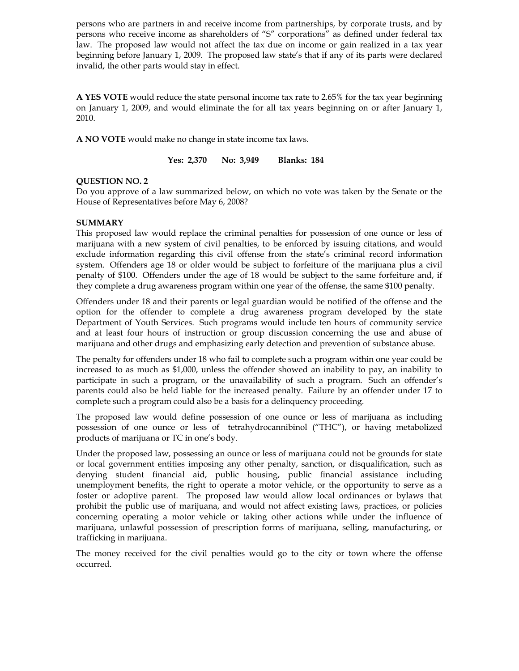persons who are partners in and receive income from partnerships, by corporate trusts, and by persons who receive income as shareholders of "S" corporations" as defined under federal tax law. The proposed law would not affect the tax due on income or gain realized in a tax year beginning before January 1, 2009. The proposed law state's that if any of its parts were declared invalid, the other parts would stay in effect.

**A YES VOTE** would reduce the state personal income tax rate to 2.65% for the tax year beginning on January 1, 2009, and would eliminate the for all tax years beginning on or after January 1, 2010.

**A NO VOTE** would make no change in state income tax laws.

**Yes: 2,370 No: 3,949 Blanks: 184** 

## **QUESTION NO. 2**

Do you approve of a law summarized below, on which no vote was taken by the Senate or the House of Representatives before May 6, 2008?

## **SUMMARY**

This proposed law would replace the criminal penalties for possession of one ounce or less of marijuana with a new system of civil penalties, to be enforced by issuing citations, and would exclude information regarding this civil offense from the state's criminal record information system. Offenders age 18 or older would be subject to forfeiture of the marijuana plus a civil penalty of \$100. Offenders under the age of 18 would be subject to the same forfeiture and, if they complete a drug awareness program within one year of the offense, the same \$100 penalty.

Offenders under 18 and their parents or legal guardian would be notified of the offense and the option for the offender to complete a drug awareness program developed by the state Department of Youth Services. Such programs would include ten hours of community service and at least four hours of instruction or group discussion concerning the use and abuse of marijuana and other drugs and emphasizing early detection and prevention of substance abuse.

The penalty for offenders under 18 who fail to complete such a program within one year could be increased to as much as \$1,000, unless the offender showed an inability to pay, an inability to participate in such a program, or the unavailability of such a program. Such an offender's parents could also be held liable for the increased penalty. Failure by an offender under 17 to complete such a program could also be a basis for a delinquency proceeding.

The proposed law would define possession of one ounce or less of marijuana as including possession of one ounce or less of tetrahydrocannibinol ("THC"), or having metabolized products of marijuana or TC in one's body.

Under the proposed law, possessing an ounce or less of marijuana could not be grounds for state or local government entities imposing any other penalty, sanction, or disqualification, such as denying student financial aid, public housing, public financial assistance including unemployment benefits, the right to operate a motor vehicle, or the opportunity to serve as a foster or adoptive parent. The proposed law would allow local ordinances or bylaws that prohibit the public use of marijuana, and would not affect existing laws, practices, or policies concerning operating a motor vehicle or taking other actions while under the influence of marijuana, unlawful possession of prescription forms of marijuana, selling, manufacturing, or trafficking in marijuana.

The money received for the civil penalties would go to the city or town where the offense occurred.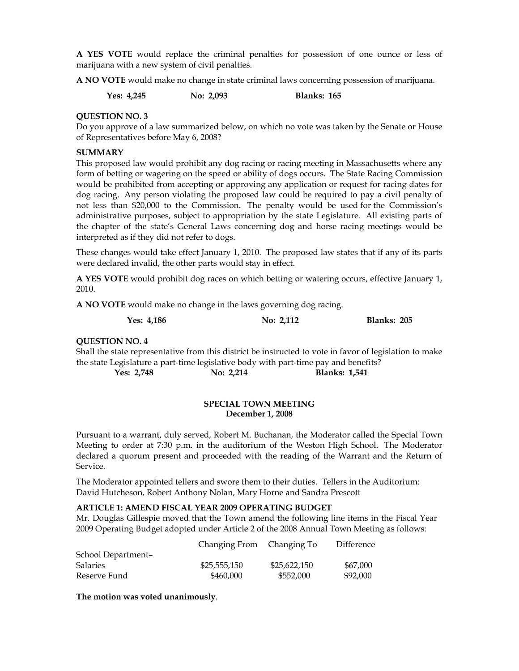**A YES VOTE** would replace the criminal penalties for possession of one ounce or less of marijuana with a new system of civil penalties.

**A NO VOTE** would make no change in state criminal laws concerning possession of marijuana.

**Yes: 4,245 No: 2,093 Blanks: 165** 

## **QUESTION NO. 3**

Do you approve of a law summarized below, on which no vote was taken by the Senate or House of Representatives before May 6, 2008?

## **SUMMARY**

This proposed law would prohibit any dog racing or racing meeting in Massachusetts where any form of betting or wagering on the speed or ability of dogs occurs. The State Racing Commission would be prohibited from accepting or approving any application or request for racing dates for dog racing. Any person violating the proposed law could be required to pay a civil penalty of not less than \$20,000 to the Commission. The penalty would be used for the Commission's administrative purposes, subject to appropriation by the state Legislature. All existing parts of the chapter of the state's General Laws concerning dog and horse racing meetings would be interpreted as if they did not refer to dogs.

These changes would take effect January 1, 2010. The proposed law states that if any of its parts were declared invalid, the other parts would stay in effect.

**A YES VOTE** would prohibit dog races on which betting or watering occurs, effective January 1, 2010.

**A NO VOTE** would make no change in the laws governing dog racing.

**Yes: 4,186 No: 2,112 Blanks: 205** 

### **QUESTION NO. 4**

Shall the state representative from this district be instructed to vote in favor of legislation to make the state Legislature a part-time legislative body with part-time pay and benefits? **Yes: 2,748 No: 2,214 Blanks: 1,541** 

## **SPECIAL TOWN MEETING December 1, 2008**

Pursuant to a warrant, duly served, Robert M. Buchanan, the Moderator called the Special Town Meeting to order at 7:30 p.m. in the auditorium of the Weston High School. The Moderator declared a quorum present and proceeded with the reading of the Warrant and the Return of Service.

The Moderator appointed tellers and swore them to their duties. Tellers in the Auditorium: David Hutcheson, Robert Anthony Nolan, Mary Horne and Sandra Prescott

### **ARTICLE 1: AMEND FISCAL YEAR 2009 OPERATING BUDGET**

Mr. Douglas Gillespie moved that the Town amend the following line items in the Fiscal Year 2009 Operating Budget adopted under Article 2 of the 2008 Annual Town Meeting as follows:

|                    | Changing From Changing To |              | Difference |
|--------------------|---------------------------|--------------|------------|
| School Department- |                           |              |            |
| <b>Salaries</b>    | \$25,555,150              | \$25,622,150 | \$67,000   |
| Reserve Fund       | \$460,000                 | \$552,000    | \$92,000   |

**The motion was voted unanimously**.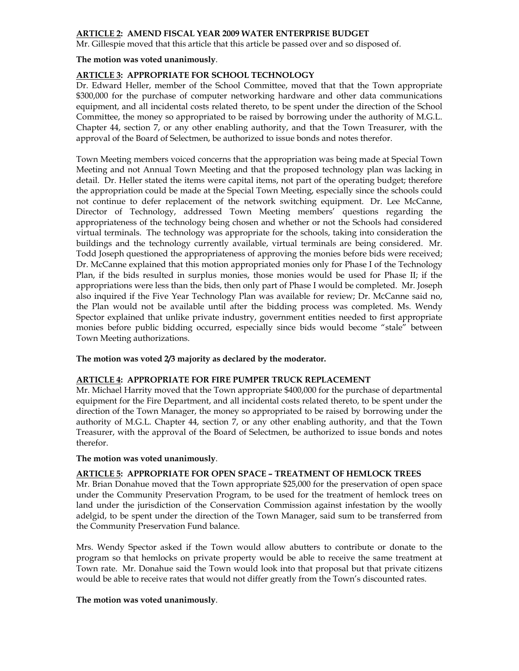## **ARTICLE 2: AMEND FISCAL YEAR 2009 WATER ENTERPRISE BUDGET**

Mr. Gillespie moved that this article that this article be passed over and so disposed of.

#### **The motion was voted unanimously**.

## **ARTICLE 3: APPROPRIATE FOR SCHOOL TECHNOLOGY**

Dr. Edward Heller, member of the School Committee, moved that that the Town appropriate \$300,000 for the purchase of computer networking hardware and other data communications equipment, and all incidental costs related thereto, to be spent under the direction of the School Committee, the money so appropriated to be raised by borrowing under the authority of M.G.L. Chapter 44, section 7, or any other enabling authority, and that the Town Treasurer, with the approval of the Board of Selectmen, be authorized to issue bonds and notes therefor.

Town Meeting members voiced concerns that the appropriation was being made at Special Town Meeting and not Annual Town Meeting and that the proposed technology plan was lacking in detail. Dr. Heller stated the items were capital items, not part of the operating budget; therefore the appropriation could be made at the Special Town Meeting, especially since the schools could not continue to defer replacement of the network switching equipment. Dr. Lee McCanne, Director of Technology, addressed Town Meeting members' questions regarding the appropriateness of the technology being chosen and whether or not the Schools had considered virtual terminals. The technology was appropriate for the schools, taking into consideration the buildings and the technology currently available, virtual terminals are being considered. Mr. Todd Joseph questioned the appropriateness of approving the monies before bids were received; Dr. McCanne explained that this motion appropriated monies only for Phase I of the Technology Plan, if the bids resulted in surplus monies, those monies would be used for Phase II; if the appropriations were less than the bids, then only part of Phase I would be completed. Mr. Joseph also inquired if the Five Year Technology Plan was available for review; Dr. McCanne said no, the Plan would not be available until after the bidding process was completed. Ms. Wendy Spector explained that unlike private industry, government entities needed to first appropriate monies before public bidding occurred, especially since bids would become "stale" between Town Meeting authorizations.

### **The motion was voted 2/3 majority as declared by the moderator.**

### **ARTICLE 4: APPROPRIATE FOR FIRE PUMPER TRUCK REPLACEMENT**

Mr. Michael Harrity moved that the Town appropriate \$400,000 for the purchase of departmental equipment for the Fire Department, and all incidental costs related thereto, to be spent under the direction of the Town Manager, the money so appropriated to be raised by borrowing under the authority of M.G.L. Chapter 44, section 7, or any other enabling authority, and that the Town Treasurer, with the approval of the Board of Selectmen, be authorized to issue bonds and notes therefor.

### **The motion was voted unanimously**.

### **ARTICLE 5: APPROPRIATE FOR OPEN SPACE – TREATMENT OF HEMLOCK TREES**

Mr. Brian Donahue moved that the Town appropriate \$25,000 for the preservation of open space under the Community Preservation Program, to be used for the treatment of hemlock trees on land under the jurisdiction of the Conservation Commission against infestation by the woolly adelgid, to be spent under the direction of the Town Manager, said sum to be transferred from the Community Preservation Fund balance.

Mrs. Wendy Spector asked if the Town would allow abutters to contribute or donate to the program so that hemlocks on private property would be able to receive the same treatment at Town rate. Mr. Donahue said the Town would look into that proposal but that private citizens would be able to receive rates that would not differ greatly from the Town's discounted rates.

### **The motion was voted unanimously**.